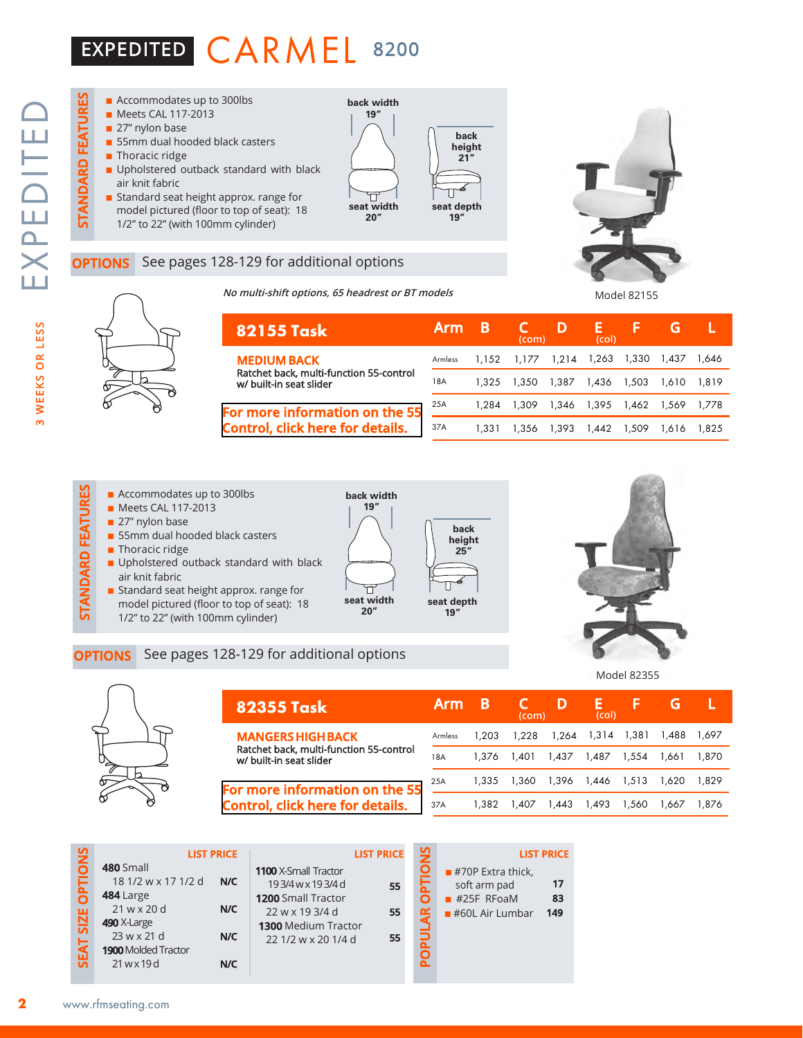## EXPEDITED CARMEL 8200



### See pages 128-129 for additional options

**No multi-shift options, 65 headrest or BT models**





| 82155 Task                                                         | Arm     | в     | (com)                         | D     | (col)       | ь                 |       |       |
|--------------------------------------------------------------------|---------|-------|-------------------------------|-------|-------------|-------------------|-------|-------|
| <b>MEDIUM BACK</b>                                                 | Armless |       | 1,152 1,177 1,214 1,263 1,330 |       |             |                   | 1.437 | 1.646 |
| Ratchet back, multi-function 55-control<br>w/ built-in seat slider | 18A     | 1.325 | 1.350                         | 1.387 | 1.436 1.503 |                   | 1.610 | 1.819 |
| For more information on the 55                                     | 25A     | 1.284 | 1.309                         |       |             | 1,346 1,395 1,462 | 1.569 | 1.778 |
| <b>Control, click here for details.</b>                            | 37A     | 1.331 | 1.356                         | 1.393 | 1.442       | 1,509             | 1.616 | 1.825 |

# **STANDARD FEATURES**  $\blacksquare$  Accommodates up to 300lbs

- Meets CAL 117-2013
- $\blacksquare$  27" nylon base
- 55mm dual hooded black casters
- $\blacksquare$  Thoracic ridge

STANDARD FEATURES

- **n** Upholstered outback standard with black air knit fabric
- Standard seat height approx. range for model pictured (floor to top of seat): 18 1/2" to 22" (with 100mm cylinder)

**OPTIONS** See pages 128-129 for additional options





Model 82355



| <b>82355 Task</b>                                                         | Arm     |       | (com) |       | (col) |       |       |       |
|---------------------------------------------------------------------------|---------|-------|-------|-------|-------|-------|-------|-------|
| <b>MANGERS HIGH BACK</b>                                                  | Armless | 1.203 | 1.228 | 1.264 | 1.314 | 1.381 | 1,488 | 1.697 |
| Ratchet back, multi-function 55-control<br>w/ built-in seat slider        | 18A     | 1.376 | 1.401 | 1.437 | 1.487 | 1.554 | 1.661 | 1.870 |
| For more information on the 55<br><b>Control, click here for details.</b> | 25A     | 1.335 | 1.360 | 1,396 | 1,446 | 1,513 | 1.620 | 1.829 |
|                                                                           | 37A     | 1.382 | 1.407 | 1.443 | 1.493 | 1.560 | 1.667 | .876  |

| $\frac{5}{2}$                   |                                                                                            | <b>LIST PRICE</b> |                                                                                                                                            | <b>LIST PRICE</b> | $\frac{5}{2}$ |                                                                                       | <b>LIST PRICE</b> |
|---------------------------------|--------------------------------------------------------------------------------------------|-------------------|--------------------------------------------------------------------------------------------------------------------------------------------|-------------------|---------------|---------------------------------------------------------------------------------------|-------------------|
| Σ<br><b>IZE OI</b><br><u>ັທ</u> | 480 Small<br>18 1/2 w x 17 1/2 d<br>484 Large<br>21 w x 20 d<br>490 X-Large<br>23 w x 21 d | N/C<br>N/C<br>N/C | 1100 X-Small Tractor<br>193/4wx193/4d<br><b>1200 Small Tractor</b><br>22 w x 19 3/4 d<br><b>1300 Medium Tractor</b><br>22 1/2 w x 20 1/4 d | 55<br>55<br>55    |               | $\blacksquare$ #70P Extra thick,<br>soft arm pad<br>$#25F$ RFoaM<br>$#60L$ Air Lumbar | 17<br>83<br>149   |
| SEAT                            | <b>1900 Molded Tractor</b><br>$21$ w x 19d                                                 | N/C               |                                                                                                                                            |                   |               |                                                                                       |                   |

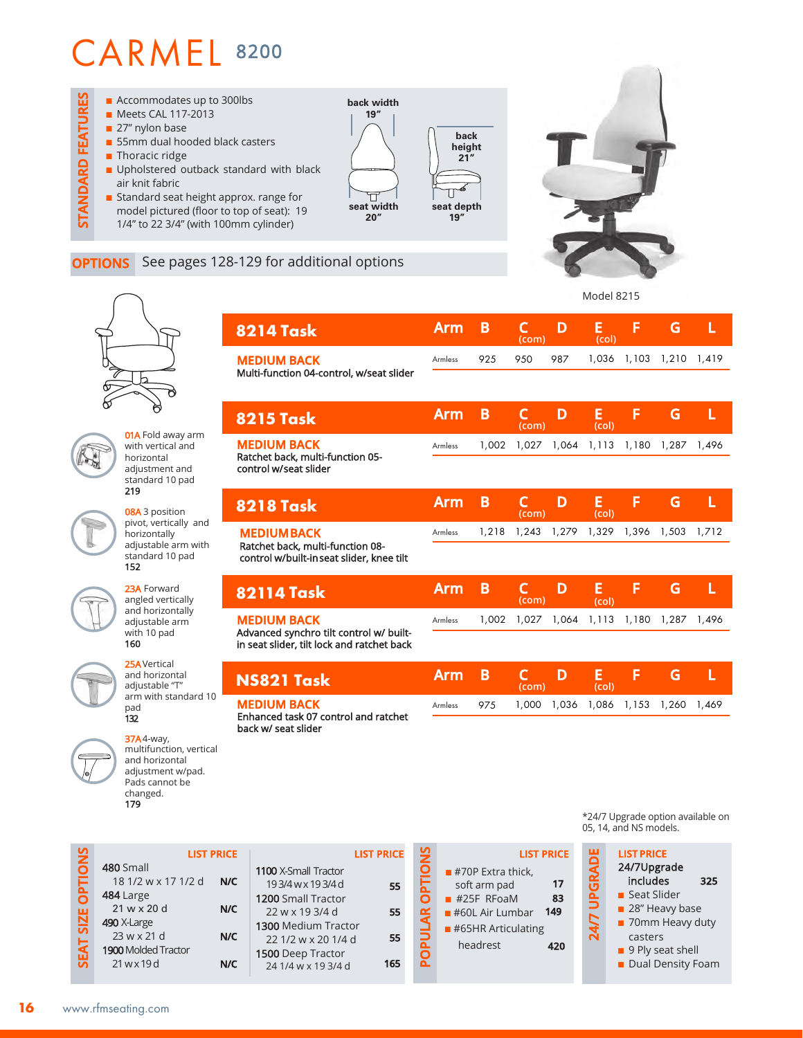

### **OPTIONS** See pages 128-129 for additional options

**8215 Task**

01A Fold away arm with vertical and horizontal adjustment and standard 10 pad 219

08A 3 position pivot, vertically and horizontally adjustable arm with standard 10 pad 152

23A Forward angled vertically and horizontally adjustable arm with 10 pad 160

25AVertical and horizontal adjustable "T" arm with standard 10 pad 132

37A4-way, multifunction, vertical and horizontal adjustment w/pad. Pads cannot be changed. 179

| <b>8214 Task</b>                                                                                            | <b>Arm</b> | B     | $\mathsf{C}$<br>(com) | D     | E<br>(col) | F     | G     | L     |
|-------------------------------------------------------------------------------------------------------------|------------|-------|-----------------------|-------|------------|-------|-------|-------|
| <b>MEDIUM BACK</b><br>Multi-function 04-control, w/seat slider                                              | Armless    | 925   | 950                   | 987   | 1,036      | 1,103 | 1,210 | 1,419 |
| <b>8215 Task</b>                                                                                            | <b>Arm</b> | B     | C<br>(com)            | D     | E<br>(col) | F     | G     | L     |
| <b>MEDIUM BACK</b><br>Ratchet back, multi-function 05-<br>control w/seat slider                             | Armless    | 1,002 | 1,027                 | 1,064 | 1,113      | 1,180 | 1,287 | 1,496 |
| <b>8218 Task</b>                                                                                            | <b>Arm</b> | B     | C<br>(com)            | D     | E<br>(col) | F     | G     | L     |
| <b>MEDIUM BACK</b><br>Ratchet back, multi-function 08-<br>control w/built-inseat slider, knee tilt          | Armless    | 1,218 | 1,243                 | 1,279 | 1,329      | 1,396 | 1,503 | 1,712 |
| <b>82114 Task</b>                                                                                           | <b>Arm</b> | B     | $\mathsf{C}$<br>(com) | D     | E<br>(col) | F     | G     | L     |
| <b>MEDIUM BACK</b><br>Advanced synchro tilt control w/ built-<br>in seat slider, tilt lock and ratchet back | Armless    | 1,002 | 1,027                 | 1,064 | 1,113      | 1,180 | 1,287 | 1,496 |
| <b>NS821 Task</b>                                                                                           | <b>Arm</b> | B     | C<br>(com)            | D     | E<br>(col) | F     | G     | L     |
| <b>MEDIUM BACK</b><br>Enhanced task 07 control and ratchet<br>back w/ seat slider                           | Armless    | 975   | 1,000                 | 1,036 | 1,086      | 1,153 | 1,260 | 1,469 |

|                               |                                                                                                                                                | <b>LIST PRICE</b>        |                                                                                                                                                                          | <b>LIST PRICE</b>     | ပ္ဘ |                                                                                                                           | <b>LIST PRICI</b>      |
|-------------------------------|------------------------------------------------------------------------------------------------------------------------------------------------|--------------------------|--------------------------------------------------------------------------------------------------------------------------------------------------------------------------|-----------------------|-----|---------------------------------------------------------------------------------------------------------------------------|------------------------|
| <b>IONS</b><br>SEAT SIZE OPTI | 480 Small<br>18 1/2 w x 17 1/2 d<br>484 Large<br>$21 w \times 20 d$<br>490 X-Large<br>23 w x 21 d<br><b>1900 Molded Tractor</b><br>21 w x 19 d | N/C<br>N/C<br>N/C<br>N/C | 1100 X-Small Tractor<br>193/4wx193/4d<br>1200 Small Tractor<br>22 w x 19 3/4 d<br>1300 Medium Tractor<br>22 1/2 w x 20 1/4 d<br>1500 Deep Tractor<br>24 1/4 w x 19 3/4 d | 55<br>55<br>55<br>165 |     | $#70P$ Extra thick,<br>soft arm pad<br>$#25F$ RFoaM<br>$#60L$ Air Lumbar<br>$\blacksquare$ #65HR Articulating<br>headrest | 17<br>83<br>149<br>420 |
|                               |                                                                                                                                                |                          |                                                                                                                                                                          |                       |     |                                                                                                                           |                        |

\*24/7 Upgrade option available on 05, 14, and NS models.

24/7Upgrade

■ Seat Slider **n** 28" Heavy base ■ 70mm Heavy duty casters ■ 9 Ply seat shell ■ Dual Density Foam

includes **325**

headrest **420**

**24/7 UPGRADE**

**LIST PRICE**<br> **LIST PRICE**<br> **LIST PRICE**<br> **LIST PRICE**<br> **LIST PRICE**<br> **LIST PRICE**<br> **LIST PRICE**<br> **LIST PRICE**<br> **LIST PRICE**<br> **LIST PRICE**<br> **LIST PRICE**<br> **LIST PRICE**<br> **LIST PRICE**<br> **LIST PRICE**<br> **LIST PRICE**<br> **LIST PRICE** 

Model 8215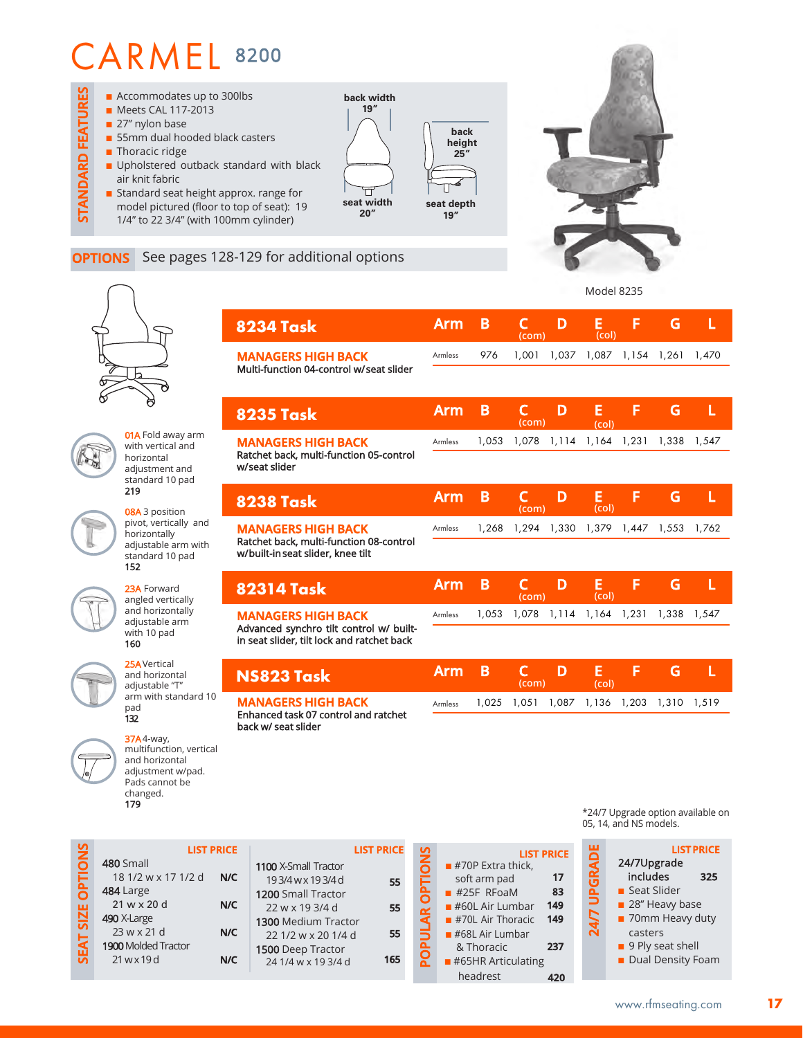

**8234 Task**

**8235 Task**

**MANAGERS HIGH BACK**  Multi-function 04-control w/ seat slider

**01A** Fold away arm with vertical and horizontal adjustment and standard 10 pad 219

08A 3 position pivot, vertically and horizontally adjustable arm with standard 10 pad 152

23A Forward angled vertically and horizontally adjustable arm with 10 pad 160

25AVertical and horizontal adjustable "T" arm with standard 10 pad 132

multifunction, vertical and horizontal adjustment w/pad.

37A4-way,

**SEAT SIZE OPTIONS**

**SEAT SIZE OPTIONS** 

23 w x 21 d 1900 Molded Tractor 21 w x 19 d

| Pads cannot be<br>changed.<br>179 |                   |                 |
|-----------------------------------|-------------------|-----------------|
|                                   | <b>LIST PRICE</b> |                 |
| 480 Small                         |                   | 110             |
| 18 1/2 w x 17 1/2 d               | N/C               |                 |
| 484 Large                         |                   | 12 <sub>0</sub> |
| 21 w x 20 d                       | N/C               | 2               |
| 490 X-Large                       |                   | 130             |

**N/C**

**N/C**

|                             | <b>LIST PRICE</b> |
|-----------------------------|-------------------|
| <b>1100 X-Small Tractor</b> |                   |
| 193/4wx193/4d               | 55                |
| 1200 Small Tractor          |                   |
| 22 w x 19 3/4 d             | 55                |
| <b>1300 Medium Tractor</b>  |                   |
| 22 1/2 w x 20 1/4 d         | 55                |
| <b>1500</b> Deep Tractor    |                   |
| 24 1/4 w x 19 3/4 d         | 165               |
|                             |                   |

| <b>OPTIONS</b> | <b>LIST PRICE</b>                 |     |
|----------------|-----------------------------------|-----|
|                | $#70P$ Extra thick,               |     |
|                | soft arm pad                      | 17  |
|                | $#25F$ RFoaM                      | 83  |
|                | $#60L$ Air Lumbar                 | 149 |
|                | $#70L$ Air Thoracic               | 149 |
|                | $\blacksquare$ #68L Air Lumbar    |     |
| OPULAR         | & Thoracic                        | 237 |
|                | $\blacksquare$ #65HR Articulating |     |
|                | headrest                          |     |

\*24/7 Upgrade option available on 05, 14, and NS models.



**Arm B C D E F G L** 

**(col)** 976 1,001 1,037 1,087 1,154 1,261 1,470

**(col)**

**Arm B C D E F G L** 

**(com)**

**(com)**

Model 8235

| <b>MANAGERS HIGH BACK</b><br>Ratchet back, multi-function 05-control                  | <b>Armless</b> | 1,053 |            |       |            |             | 1,078 1,114 1,164 1,231 1,338 1,547 |       |
|---------------------------------------------------------------------------------------|----------------|-------|------------|-------|------------|-------------|-------------------------------------|-------|
| w/seat slider                                                                         |                |       |            |       |            |             |                                     |       |
| <b>8238 Task</b>                                                                      | Arm            | B     | C<br>(com) | D     | E<br>(col) | F           | G                                   |       |
| <b>MANAGERS HIGH BACK</b>                                                             | Armless        | 1,268 | 1,294      | 1,330 |            | 1,379 1,447 | 1,553                               | 1,762 |
| Ratchet back, multi-function 08-control<br>w/built-in seat slider, knee tilt          |                |       |            |       |            |             |                                     |       |
|                                                                                       |                |       |            |       |            |             |                                     |       |
| <b>82314 Task</b>                                                                     | Arm            | B     | C<br>(com) | D     | Е<br>(col) | F           | G                                   | L     |
| <b>MANAGERS HIGH BACK</b>                                                             | Armless        | 1,053 | 1,078      | 1,114 | 1.164      | 1.231       | 1.338                               | 1.547 |
| Advanced synchro tilt control w/ built-<br>in seat slider, tilt lock and ratchet back |                |       |            |       |            |             |                                     |       |
| NS823 Task                                                                            | Arm            | B     | C<br>(com) | D     | E<br>(col) | F           | G                                   | L     |
| <b>MANAGERS HIGH BACK</b><br>Enhanced task 07 control and ratchet                     | <b>Armless</b> | 1,025 | 1,051      | 1,087 | 1,136      | 1,203       | 1,310                               | 1,519 |

Armless

**17**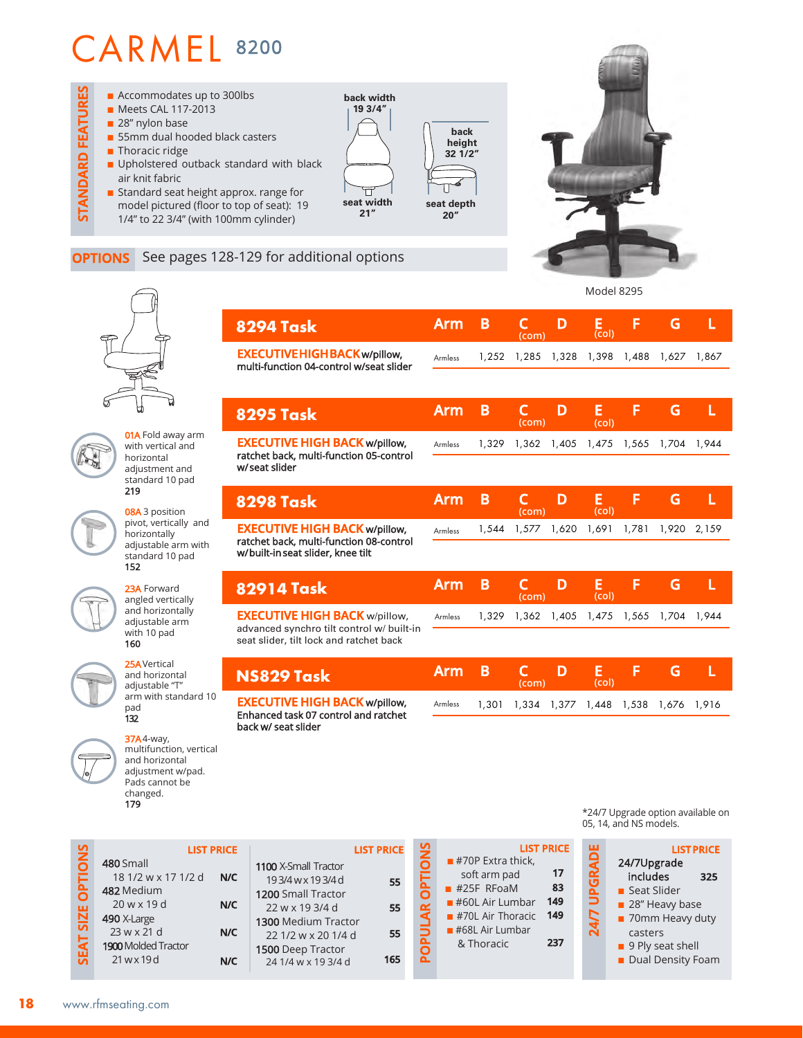

### **OPTIONS** See pages 128-129 for additional options

1300  $22<sup>1</sup>$ 1500



**01A** Fold away arm with vertical and horizontal adjustment and standard 10 pad 219

08A 3 position pivot, vertically and horizontally adjustable arm with standard 10 pad 152

23A Forward angled vertically and horizontally adjustable arm with 10 pad 160

25AVertical and horizontal adjustable "T" arm with standard 10 pad 132

37A4-way, multifunction, vertical and horizontal adjustment w/pad. Pads cannot be changed. 179

| 8294 Task                                                                                                            | <b>Arm</b>     | B     | г<br>(com)            | D     | Е<br>(col) | F     | G     |       |
|----------------------------------------------------------------------------------------------------------------------|----------------|-------|-----------------------|-------|------------|-------|-------|-------|
| <b>EXECUTIVE HIGH BACK w/pillow,</b><br>multi-function 04-control w/seat slider                                      | Armless        | 1,252 | 1,285                 | 1,328 | 1,398      | 1,488 | 1,627 | 1,867 |
|                                                                                                                      |                |       |                       |       |            |       |       |       |
| <b>8295 Task</b>                                                                                                     | <b>Arm</b>     | B     | $\mathsf{C}$<br>(com) | D     | Е<br>(col) | F     | G     | L     |
| <b>EXECUTIVE HIGH BACK w/pillow,</b><br>ratchet back, multi-function 05-control                                      | <b>Armless</b> | 1,329 | 1,362                 | 1,405 | 1,475      | 1,565 | 1,704 | 1.944 |
| w/seat slider                                                                                                        |                |       |                       |       |            |       |       |       |
| <b>8298 Task</b>                                                                                                     | <b>Arm</b>     | B     | C<br>(com)            | D     | E<br>(col) | F     | G     | L     |
| <b>EXECUTIVE HIGH BACK w/pillow,</b><br>ratchet back, multi-function 08-control<br>w/built-in seat slider, knee tilt | Armless        | 1,544 | 1,577                 | 1,620 | 1,691      | 1,781 | 1,920 | 2,159 |
|                                                                                                                      |                |       |                       |       |            |       |       |       |
| 82914 Task                                                                                                           | <b>Arm</b>     | B     | $\mathsf{C}$<br>(com) | D     | E<br>(col) | F     | G     | L     |
| <b>EXECUTIVE HIGH BACK w/pillow,</b><br>advanced synchro tilt control w/ built-in                                    | Armless        | 1,329 | 1,362                 | 1,405 | 1,475      | 1,565 | 1,704 | 1,944 |
| seat slider, tilt lock and ratchet back                                                                              |                |       |                       |       |            |       |       |       |
| NS829 Task                                                                                                           | <b>Arm</b>     | B     | C<br>(com)            | D     | E<br>(col) | F     | G     | L     |
| <b>EXECUTIVE HIGH BACK w/pillow,</b>                                                                                 | Armless        | 1.301 | 1,334                 | 1,377 | 1,448      | 1,538 | 1,676 | 1.916 |

Enhanced task 07 control and ratchet back w/ seat slider

| <b>LIST PRICE</b>                          |     |                | <b>LIST PRIC</b>                                 |           |
|--------------------------------------------|-----|----------------|--------------------------------------------------|-----------|
| 1100 X-Small Tractor<br>193/4wx193/4d      | 55  | <b>OPTIONS</b> | $\blacksquare$ #70P Extra thick,<br>soft arm pad | 17        |
| 1200 Small Tractor<br>22 w x 19 3/4 d      | 55  |                | $#25F$ RFoaM<br>$\blacksquare$ #60L Air Lumbar   | 83<br>149 |
| 1300 Medium Tractor<br>22 1/2 w x 20 1/4 d | 55  | <b>POPULAR</b> | $#70L$ Air Thoracic<br>$#68L$ Air Lumbar         | 149       |
| 1500 Deep Tractor<br>24 1/4 w x 19 3/4 d   | 165 |                | & Thoracic                                       | 237       |

\*24/7 Upgrade option available on 05, 14, and NS models.

Model 8295



#### **LIST PRICE SEAT SIZE OPTIONS SIZE OPTION** 480 Small 18 1/2 w x 17 1/2 d **N/C** 482 Medium 20 w x 19 d **N/C** 490 X-Large 23 w x 21 d **N/C** EAT: 1900 Molded Tractor 21 w x 19 d **N/C**

| www.rfmseating.com |  |
|--------------------|--|

| WWW. |
|------|
|      |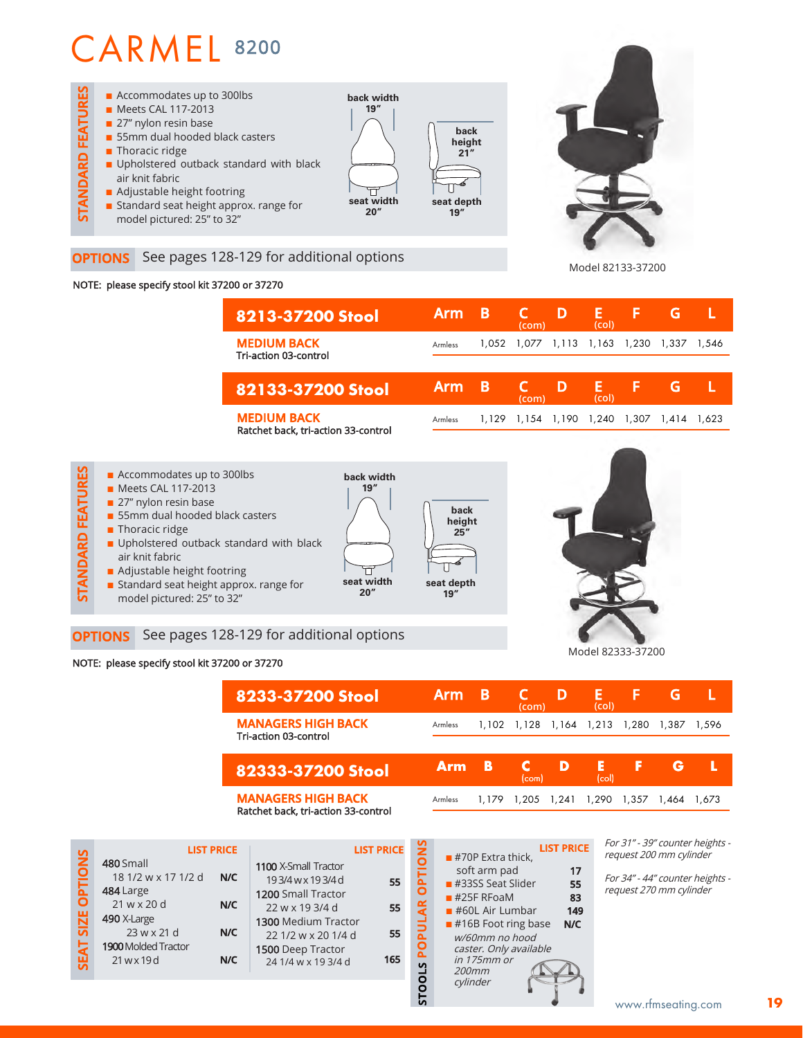

#### **OPTIONS** See pages 128-129 for additional options

#### NOTE: please specify stool kit 37200 or 37270

| <b>Arm</b> | B     | (com) |       | (col) |       | G.    |       |
|------------|-------|-------|-------|-------|-------|-------|-------|
| Armless    |       | 1.077 | 1,113 |       | 1,230 | 1.337 | 1.546 |
| <b>Arm</b> | В     | (com) |       | (col) |       | G     |       |
| Armless    | 1.129 | 1,154 | 1,190 | 1,240 | 1,307 | 1.414 | 1.623 |
|            |       |       | 1.052 |       | 1,163 |       |       |



#### NOTE: please specify stool kit 37200 or 37270

| 8233-37200 Stool                                   | Arm     | в     | (com) | D           | ы<br>(col) | ь     | G     |       |
|----------------------------------------------------|---------|-------|-------|-------------|------------|-------|-------|-------|
| <b>MANAGERS HIGH BACK</b><br>Tri-action 03-control | Armless | 1.102 | 1,128 | 1,164 1,213 |            | 1.280 | 1,387 | 1.596 |
|                                                    |         |       |       |             |            |       |       |       |
| 82333-37200 Stool                                  | Arm     | 13    | (com) | D           | E<br>(col) | Б     | G     |       |

|                   |                                                                                              | <b>LIST PRICE</b> |                                                                                                                                     | <b>LIST PRICE</b> | š                                           |
|-------------------|----------------------------------------------------------------------------------------------|-------------------|-------------------------------------------------------------------------------------------------------------------------------------|-------------------|---------------------------------------------|
| SEAT SIZE OPTIONS | 480 Small<br>18 1/2 w x 17 1/2 d<br>484 Large<br>$21$ w x 20 d<br>490 X-Large<br>23 w x 21 d | N/C<br>N/C<br>N/C | 1100 X-Small Tractor<br>193/4wx193/4d<br>1200 Small Tractor<br>22 w x 19 3/4 d<br><b>1300 Medium Tractor</b><br>22 1/2 w x 20 1/4 d | 55<br>55<br>55    | <b>PLIO</b><br>Ō<br><b>ULAR</b><br><u>ه</u> |
|                   | <b>1900 Molded Tractor</b><br>21 w x 19 d                                                    | N/C               | <b>1500</b> Deep Tractor<br>24 1/4 w x 19 3/4 d                                                                                     | 165               | O<br>ã.                                     |
|                   |                                                                                              |                   |                                                                                                                                     |                   | <b>STOOLS</b>                               |

| <b>LIST PRICE</b><br>$#70P$ Extra thick, |     |
|------------------------------------------|-----|
| soft arm pad                             | 17  |
| $#3355$ Seat Slider                      | 55  |
| $#25F$ RFoaM                             | 83  |
| $#60L$ Air Lumbar                        | 149 |
| $\blacksquare$ #16B Foot ring base       | N/C |
| w/60mm no hood                           |     |
| caster. Only available<br>in 175mm or    |     |
| 200mm                                    |     |
| cylinder                                 |     |
|                                          |     |

For 31" - 39" counter heights request 200 mm cylinder

Model 82133-37200

For 34" - 44" counter heights request 270 mm cylinder